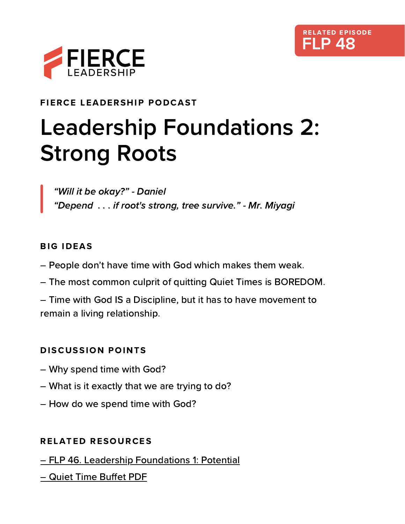



## FIERCE LEADERSHIP PODCAST

# Leadership Foundations 2: Strong Roots

"Will it be okay?" - Daniel "Depend . . . if root's strong, tree survive." - Mr. Miyagi

#### BIG IDEAS

- [People](https://smile.amazon.com/Your-Spiritual-Gifts-Help-Church/dp/0800798368/ref=sr_1_2?dchild=1&keywords=Your+Spiritual+Gifts+Can+Grow+Your+Church+by+Peter+Wagner&qid=1611619512&sr=8-2) don't have time with God which makes them weak.
- The most common culprit of quitting Quiet Times is [BOREDOM.](https://smile.amazon.com/Your-Spiritual-Gifts-Help-Church/dp/0800798368/ref=sr_1_2?dchild=1&keywords=Your+Spiritual+Gifts+Can+Grow+Your+Church+by+Peter+Wagner&qid=1611619512&sr=8-2)

– Time with God IS a Discipline, but it has to have movement to remain a living [relationship.](https://smile.amazon.com/Your-Spiritual-Gifts-Help-Church/dp/0800798368/ref=sr_1_2?dchild=1&keywords=Your+Spiritual+Gifts+Can+Grow+Your+Church+by+Peter+Wagner&qid=1611619512&sr=8-2)

#### DISCUSSION POINTS

- Why spend time with God?
- What is it exactly that we are trying to do?
- How do we spend time with God?

#### RELATED RESOURCES

[–](https://fierce.church/leadership-foundations-1-potential/) [F](https://fierce.church/leadership-foundations-1-potential/)LP 46. Leadership [Foundations](https://fierce.church/leadership-foundations-1-potential/) 1: Potential

[–](https://fierce.church/wp-content/uploads/2021/02/Quiet-Time-Buffet-2.pdf) [Qu](https://fierce.church/wp-content/uploads/2021/02/Quiet-Time-Buffet-2.pdf)iet Time [Buffet](https://fierce.church/wp-content/uploads/2021/02/Quiet-Time-Buffet-2.pdf) PDF